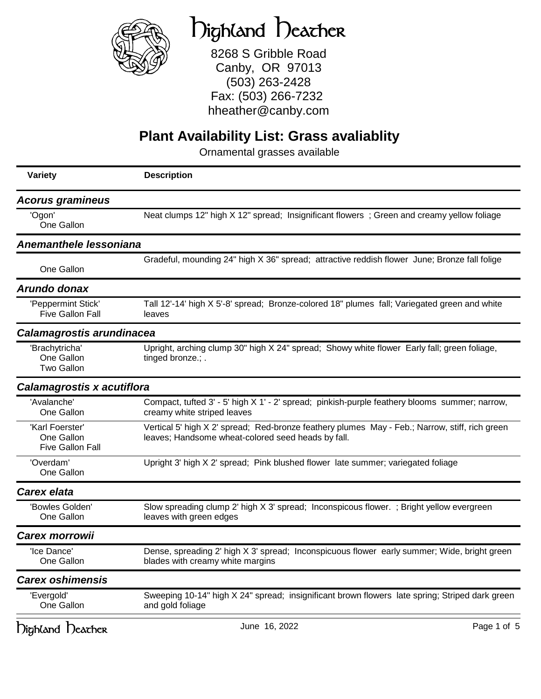

# Highland Heather

8268 S Gribble Road Canby, OR 97013 (503) 263-2428 Fax: (503) 266-7232 hheather@canby.com

### **Plant Availability List: Grass avaliablity**

| <b>Variety</b>                                           | <b>Description</b>                                                                                                                                   |
|----------------------------------------------------------|------------------------------------------------------------------------------------------------------------------------------------------------------|
| <b>Acorus gramineus</b>                                  |                                                                                                                                                      |
| 'Ogon'<br>One Gallon                                     | Neat clumps 12" high X 12" spread; Insignificant flowers; Green and creamy yellow foliage                                                            |
| <b>Anemanthele lessoniana</b>                            |                                                                                                                                                      |
| One Gallon                                               | Gradeful, mounding 24" high X 36" spread; attractive reddish flower June; Bronze fall folige                                                         |
| Arundo donax                                             |                                                                                                                                                      |
| 'Peppermint Stick'<br><b>Five Gallon Fall</b>            | Tall 12'-14' high X 5'-8' spread; Bronze-colored 18" plumes fall; Variegated green and white<br>leaves                                               |
| Calamagrostis arundinacea                                |                                                                                                                                                      |
| 'Brachytricha'<br>One Gallon<br><b>Two Gallon</b>        | Upright, arching clump 30" high X 24" spread; Showy white flower Early fall; green foliage,<br>tinged bronze.; .                                     |
| Calamagrostis x acutiflora                               |                                                                                                                                                      |
| 'Avalanche'<br>One Gallon                                | Compact, tufted 3' - 5' high X 1' - 2' spread; pinkish-purple feathery blooms summer; narrow,<br>creamy white striped leaves                         |
| 'Karl Foerster'<br>One Gallon<br><b>Five Gallon Fall</b> | Vertical 5' high X 2' spread; Red-bronze feathery plumes May - Feb.; Narrow, stiff, rich green<br>leaves; Handsome wheat-colored seed heads by fall. |
| 'Overdam'<br>One Gallon                                  | Upright 3' high X 2' spread; Pink blushed flower late summer; variegated foliage                                                                     |
| <b>Carex elata</b>                                       |                                                                                                                                                      |
| 'Bowles Golden'<br>One Gallon                            | Slow spreading clump 2' high X 3' spread; Inconspicous flower.; Bright yellow evergreen<br>leaves with green edges                                   |
| <b>Carex morrowii</b>                                    |                                                                                                                                                      |
| 'Ice Dance'<br>One Gallon                                | Dense, spreading 2' high X 3' spread; Inconspicuous flower early summer; Wide, bright green<br>blades with creamy white margins                      |
| <b>Carex oshimensis</b>                                  |                                                                                                                                                      |
| 'Evergold'<br>One Gallon                                 | Sweeping 10-14" high X 24" spread; insignificant brown flowers late spring; Striped dark green<br>and gold foliage                                   |
| Dighland Deacher                                         | June 16, 2022<br>Page 1 of 5                                                                                                                         |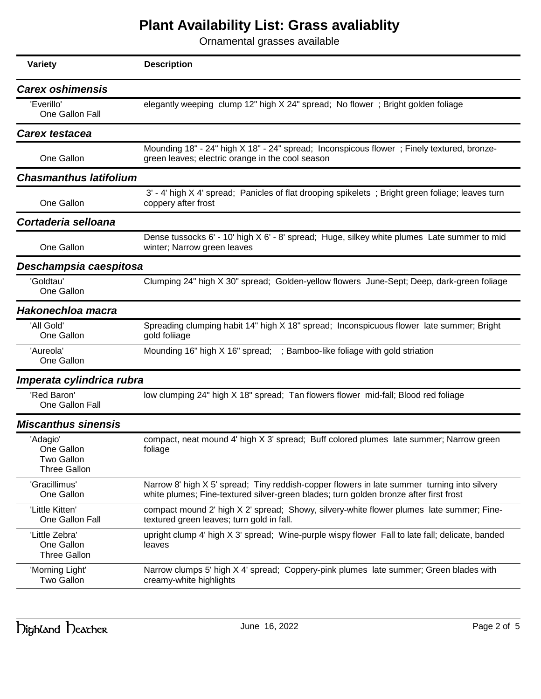| <b>Variety</b>                                                     | <b>Description</b>                                                                                                                                                                   |
|--------------------------------------------------------------------|--------------------------------------------------------------------------------------------------------------------------------------------------------------------------------------|
| <b>Carex oshimensis</b>                                            |                                                                                                                                                                                      |
| 'Everillo'<br>One Gallon Fall                                      | elegantly weeping clump 12" high X 24" spread; No flower; Bright golden foliage                                                                                                      |
| <b>Carex testacea</b>                                              |                                                                                                                                                                                      |
| One Gallon                                                         | Mounding 18" - 24" high X 18" - 24" spread; Inconspicous flower; Finely textured, bronze-<br>green leaves; electric orange in the cool season                                        |
| <b>Chasmanthus latifolium</b>                                      |                                                                                                                                                                                      |
| One Gallon                                                         | 3' - 4' high X 4' spread; Panicles of flat drooping spikelets; Bright green foliage; leaves turn<br>coppery after frost                                                              |
| Cortaderia selloana                                                |                                                                                                                                                                                      |
| One Gallon                                                         | Dense tussocks 6' - 10' high X 6' - 8' spread; Huge, silkey white plumes Late summer to mid<br>winter; Narrow green leaves                                                           |
| Deschampsia caespitosa                                             |                                                                                                                                                                                      |
| 'Goldtau'<br>One Gallon                                            | Clumping 24" high X 30" spread; Golden-yellow flowers June-Sept; Deep, dark-green foliage                                                                                            |
| Hakonechloa macra                                                  |                                                                                                                                                                                      |
| 'All Gold'<br>One Gallon                                           | Spreading clumping habit 14" high X 18" spread; Inconspicuous flower late summer; Bright<br>gold foliiage                                                                            |
| 'Aureola'<br>One Gallon                                            | Mounding 16" high X 16" spread; ; Bamboo-like foliage with gold striation                                                                                                            |
| Imperata cylindrica rubra                                          |                                                                                                                                                                                      |
| 'Red Baron'<br>One Gallon Fall                                     | low clumping 24" high X 18" spread; Tan flowers flower mid-fall; Blood red foliage                                                                                                   |
| <b>Miscanthus sinensis</b>                                         |                                                                                                                                                                                      |
| 'Adagio'<br>One Gallon<br><b>Two Gallon</b><br><b>Three Gallon</b> | compact, neat mound 4' high X 3' spread; Buff colored plumes late summer; Narrow green<br>foliage                                                                                    |
| 'Gracillimus'<br>One Gallon                                        | Narrow 8' high X 5' spread; Tiny reddish-copper flowers in late summer turning into silvery<br>white plumes; Fine-textured silver-green blades; turn golden bronze after first frost |
| 'Little Kitten'<br>One Gallon Fall                                 | compact mound 2' high X 2' spread; Showy, silvery-white flower plumes late summer; Fine-<br>textured green leaves; turn gold in fall.                                                |
| 'Little Zebra'<br>One Gallon<br><b>Three Gallon</b>                | upright clump 4' high X 3' spread; Wine-purple wispy flower Fall to late fall; delicate, banded<br>leaves                                                                            |
| 'Morning Light'<br><b>Two Gallon</b>                               | Narrow clumps 5' high X 4' spread; Coppery-pink plumes late summer; Green blades with<br>creamy-white highlights                                                                     |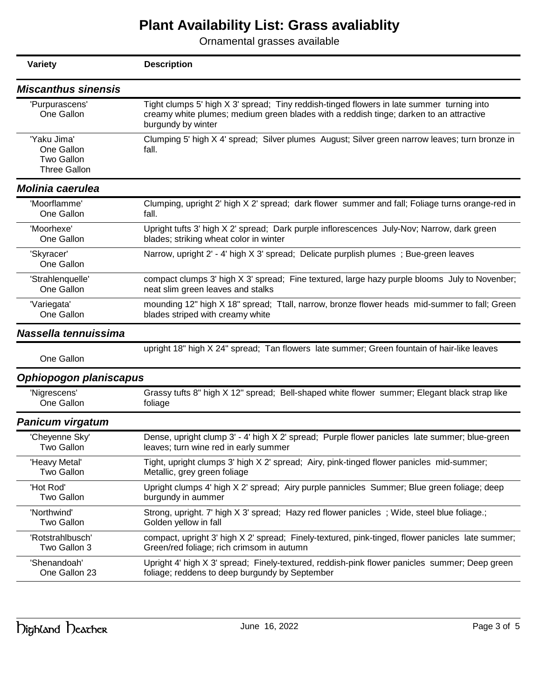| <b>Variety</b>                                                        | <b>Description</b>                                                                                                                                                                                        |
|-----------------------------------------------------------------------|-----------------------------------------------------------------------------------------------------------------------------------------------------------------------------------------------------------|
| <b>Miscanthus sinensis</b>                                            |                                                                                                                                                                                                           |
| 'Purpurascens'<br>One Gallon                                          | Tight clumps 5' high X 3' spread; Tiny reddish-tinged flowers in late summer turning into<br>creamy white plumes; medium green blades with a reddish tinge; darken to an attractive<br>burgundy by winter |
| 'Yaku Jima'<br>One Gallon<br><b>Two Gallon</b><br><b>Three Gallon</b> | Clumping 5' high X 4' spread; Silver plumes August; Silver green narrow leaves; turn bronze in<br>fall.                                                                                                   |
| <b>Molinia caerulea</b>                                               |                                                                                                                                                                                                           |
| 'Moorflamme'                                                          | Clumping, upright 2' high X 2' spread; dark flower summer and fall; Foliage turns orange-red in                                                                                                           |
| One Gallon                                                            | fall.                                                                                                                                                                                                     |
| 'Moorhexe'                                                            | Upright tufts 3' high X 2' spread; Dark purple inflorescences July-Nov; Narrow, dark green                                                                                                                |
| One Gallon                                                            | blades; striking wheat color in winter                                                                                                                                                                    |
| 'Skyracer'<br>One Gallon                                              | Narrow, upright 2' - 4' high X 3' spread; Delicate purplish plumes; Bue-green leaves                                                                                                                      |
| 'Strahlenquelle'                                                      | compact clumps 3' high X 3' spread; Fine textured, large hazy purple blooms July to Novenber;                                                                                                             |
| One Gallon                                                            | neat slim green leaves and stalks                                                                                                                                                                         |
| 'Variegata'                                                           | mounding 12" high X 18" spread; Ttall, narrow, bronze flower heads mid-summer to fall; Green                                                                                                              |
| One Gallon                                                            | blades striped with creamy white                                                                                                                                                                          |
| Nassella tennuissima                                                  |                                                                                                                                                                                                           |
| One Gallon                                                            | upright 18" high X 24" spread; Tan flowers late summer; Green fountain of hair-like leaves                                                                                                                |
| Ophiopogon planiscapus                                                |                                                                                                                                                                                                           |
| 'Nigrescens'                                                          | Grassy tufts 8" high X 12" spread; Bell-shaped white flower summer; Elegant black strap like                                                                                                              |
| One Gallon                                                            | foliage                                                                                                                                                                                                   |
| <b>Panicum virgatum</b>                                               |                                                                                                                                                                                                           |
| 'Cheyenne Sky'                                                        | Dense, upright clump 3' - 4' high X 2' spread; Purple flower panicles late summer; blue-green                                                                                                             |
| Two Gallon                                                            | leaves; turn wine red in early summer                                                                                                                                                                     |
| 'Heavy Metal'                                                         | Tight, upright clumps 3' high X 2' spread; Airy, pink-tinged flower panicles mid-summer;                                                                                                                  |
| <b>Two Gallon</b>                                                     | Metallic, grey green foliage                                                                                                                                                                              |
| 'Hot Rod'                                                             | Upright clumps 4' high X 2' spread; Airy purple pannicles Summer; Blue green foliage; deep                                                                                                                |
| <b>Two Gallon</b>                                                     | burgundy in aummer                                                                                                                                                                                        |
| 'Northwind'                                                           | Strong, upright. 7' high X 3' spread; Hazy red flower panicles; Wide, steel blue foliage.;                                                                                                                |
| <b>Two Gallon</b>                                                     | Golden yellow in fall                                                                                                                                                                                     |
| 'Rotstrahlbusch'                                                      | compact, upright 3' high X 2' spread; Finely-textured, pink-tinged, flower panicles late summer;                                                                                                          |
| Two Gallon 3                                                          | Green/red foliage; rich crimsom in autumn                                                                                                                                                                 |
| 'Shenandoah'                                                          | Upright 4' high X 3' spread; Finely-textured, reddish-pink flower panicles summer; Deep green                                                                                                             |
| One Gallon 23                                                         | foliage; reddens to deep burgundy by September                                                                                                                                                            |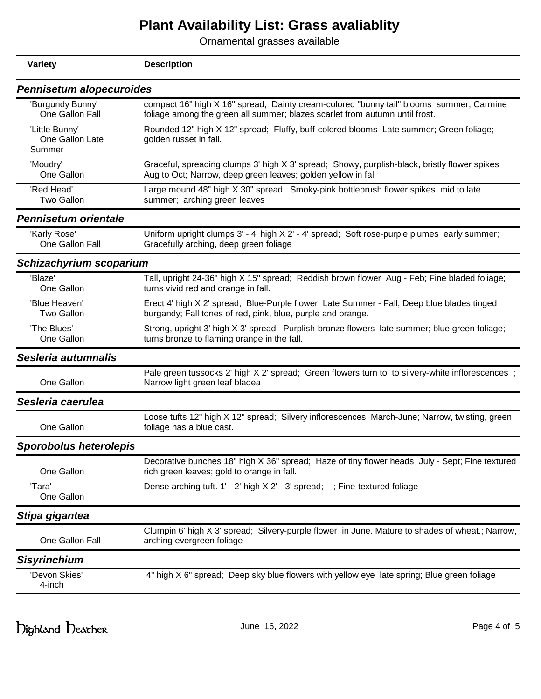| <b>Description</b>                                                                                                                                                     |
|------------------------------------------------------------------------------------------------------------------------------------------------------------------------|
| Pennisetum alopecuroides                                                                                                                                               |
| compact 16" high X 16" spread; Dainty cream-colored "bunny tail" blooms summer; Carmine<br>foliage among the green all summer; blazes scarlet from autumn until frost. |
| Rounded 12" high X 12" spread; Fluffy, buff-colored blooms Late summer; Green foliage;<br>golden russet in fall.                                                       |
| Graceful, spreading clumps 3' high X 3' spread; Showy, purplish-black, bristly flower spikes<br>Aug to Oct; Narrow, deep green leaves; golden yellow in fall           |
| Large mound 48" high X 30" spread; Smoky-pink bottlebrush flower spikes mid to late<br>summer; arching green leaves                                                    |
|                                                                                                                                                                        |
| Uniform upright clumps 3' - 4' high X 2' - 4' spread; Soft rose-purple plumes early summer;<br>Gracefully arching, deep green foliage                                  |
| Schizachyrium scoparium                                                                                                                                                |
| Tall, upright 24-36" high X 15" spread; Reddish brown flower Aug - Feb; Fine bladed foliage;<br>turns vivid red and orange in fall.                                    |
| Erect 4' high X 2' spread; Blue-Purple flower Late Summer - Fall; Deep blue blades tinged<br>burgandy; Fall tones of red, pink, blue, purple and orange.               |
| Strong, upright 3' high X 3' spread; Purplish-bronze flowers late summer; blue green foliage;<br>turns bronze to flaming orange in the fall.                           |
|                                                                                                                                                                        |
| Pale green tussocks 2' high X 2' spread; Green flowers turn to to silvery-white inflorescences;<br>Narrow light green leaf bladea                                      |
|                                                                                                                                                                        |
| Loose tufts 12" high X 12" spread; Silvery inflorescences March-June; Narrow, twisting, green<br>foliage has a blue cast.                                              |
|                                                                                                                                                                        |
| Decorative bunches 18" high X 36" spread; Haze of tiny flower heads July - Sept; Fine textured<br>rich green leaves; gold to orange in fall.                           |
| Dense arching tuft. 1' - 2' high X 2' - 3' spread; ; Fine-textured foliage                                                                                             |
|                                                                                                                                                                        |
| Clumpin 6' high X 3' spread; Silvery-purple flower in June. Mature to shades of wheat.; Narrow,<br>arching evergreen foliage                                           |
|                                                                                                                                                                        |
| 4" high X 6" spread; Deep sky blue flowers with yellow eye late spring; Blue green foliage                                                                             |
|                                                                                                                                                                        |